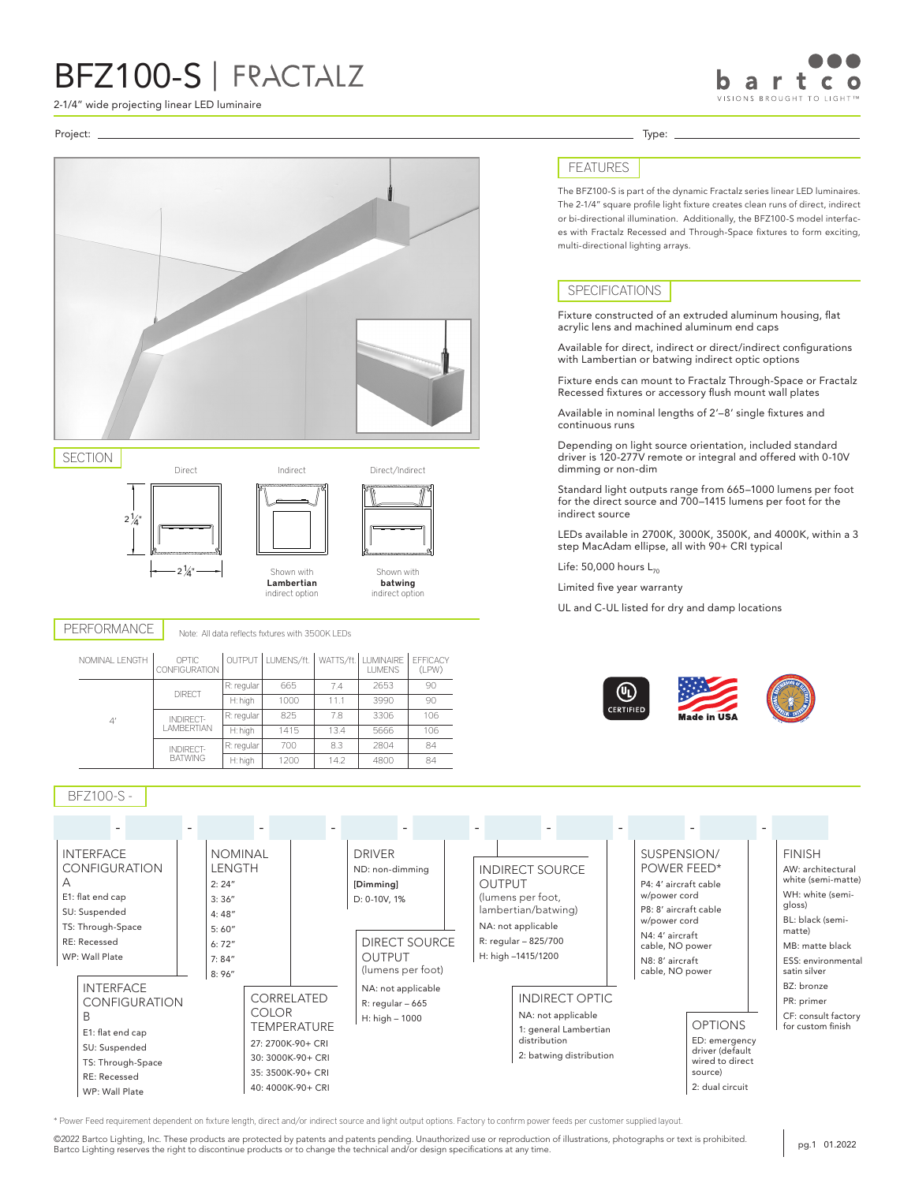2-1/4" wide projecting linear LED luminaire

### Project: Type:







Shown with batwing indirect option

PERFORMANCE Note: All data reflects fixtures with 3500K LEDs

Lambertian indirect option

| NOMINAL LENGTH | OPTIC<br>CONFIGURATION             |            | OUTPUT LUMENS/ft. |      | WATTS/ft. LUMINAIRE<br><b>LUMENS</b> | <b>EFFICACY</b><br>(LPW) |
|----------------|------------------------------------|------------|-------------------|------|--------------------------------------|--------------------------|
|                | <b>DIRECT</b>                      | R: regular | 665               | 74   | 2653                                 | 90                       |
|                |                                    | H: high    | 1000              | 11.1 | 3990                                 | 90                       |
| 4 <sup>′</sup> | INDIRFCT-<br>I AMBERTIAN           | R: regular | 825               | 78   | 3306                                 | 106                      |
|                |                                    | H: high    | 1415              | 13.4 | 5666                                 | 106                      |
|                | <b>INDIRECT-</b><br><b>BATWING</b> | R: regular | 700               | 8.3  | 2804                                 | 84                       |
|                |                                    | H: high    | 1200              | 14.2 | 4800                                 | 84                       |

### BFZ100-S -



\* Power Feed requirement dependent on fixture length, direct and/or indirect source and light output options. Factory to confirm power feeds per customer supplied layout.

©2022 Bartco Lighting, Inc. These products are protected by patents and patents pending. Unauthorized use or reproduction of illustrations, photographs or text is prohibited. EXIVER Bartco Lighting, Inc. These products are protected by patents and patents pending. Unauthorized use or reproduction of illustrations, photographs or text is prohibited.<br>Bartco Lighting reserves the right to disconti

## FEATURES

The BFZ100-S is part of the dynamic Fractalz series linear LED luminaires. The 2-1/4" square profile light fixture creates clean runs of direct, indirect or bi-directional illumination. Additionally, the BFZ100-S model interfaces with Fractalz Recessed and Through-Space fixtures to form exciting, multi-directional lighting arrays.

## SPECIFICATIONS

Fixture constructed of an extruded aluminum housing, flat acrylic lens and machined aluminum end caps

Available for direct, indirect or direct/indirect configurations with Lambertian or batwing indirect optic options

Fixture ends can mount to Fractalz Through-Space or Fractalz Recessed fixtures or accessory flush mount wall plates

Available in nominal lengths of 2'–8' single fixtures and continuous runs

Depending on light source orientation, included standard driver is 120-277V remote or integral and offered with 0-10V dimming or non-dim

Standard light outputs range from 665–1000 lumens per foot for the direct source and 700–1415 lumens per foot for the indirect source

LEDs available in 2700K, 3000K, 3500K, and 4000K, within a 3 step MacAdam ellipse, all with 90+ CRI typical

Life:  $50,000$  hours  $L_{70}$ 

Limited five year warranty

UL and C-UL listed for dry and damp locations



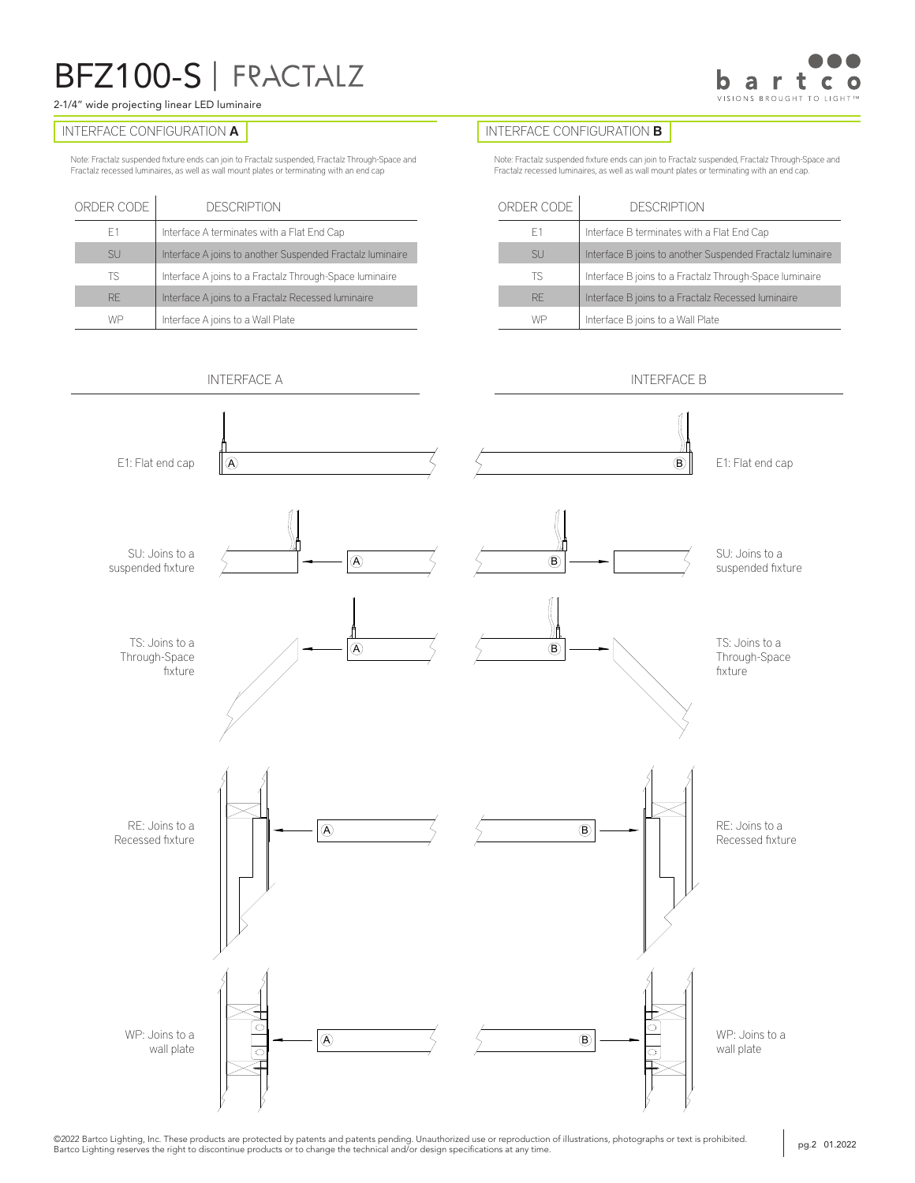### 2-1/4" wide projecting linear LED luminaire

Note: Fractalz suspended fixture ends can join to Fractalz suspended, Fractalz Through-Space and Fractalz recessed luminaires, as well as wall mount plates or terminating with an end cap

| ORDER CODE | <b>DESCRIPTION</b>                                        |
|------------|-----------------------------------------------------------|
| F1         | Interface A terminates with a Flat End Cap                |
| <b>SU</b>  | Interface A joins to another Suspended Fractalz luminaire |
| ΤS         | Interface A joins to a Fractalz Through-Space luminaire   |
| <b>RF</b>  | Interface A joins to a Fractalz Recessed luminaire        |
| WP         | Interface A joins to a Wall Plate                         |

### INTERFACE CONFIGURATION **A INTERFACE CONFIGURATION <b>B**

 $\mathcal{L}$ 

Note: Fractalz suspended fixture ends can join to Fractalz suspended, Fractalz Through-Space and Fractalz recessed luminaires, as well as wall mount plates or terminating with an end cap.

| ORDER CODE | <b>DESCRIPTION</b>                                        |
|------------|-----------------------------------------------------------|
| F1         | Interface B terminates with a Flat End Cap                |
| <b>SU</b>  | Interface B joins to another Suspended Fractalz luminaire |
| ΤS         | Interface B joins to a Fractalz Through-Space luminaire   |
| <b>RF</b>  | Interface B joins to a Fractalz Recessed luminaire        |
| WE         | Interface B joins to a Wall Plate                         |



©2022 Bartco Lighting, Inc. These products are protected by patents and patents pending. Unauthorized use or reproduction of illustrations, photographs or text is prohibited. µg.2 01.2022<br>Bartco Lighting reserves the right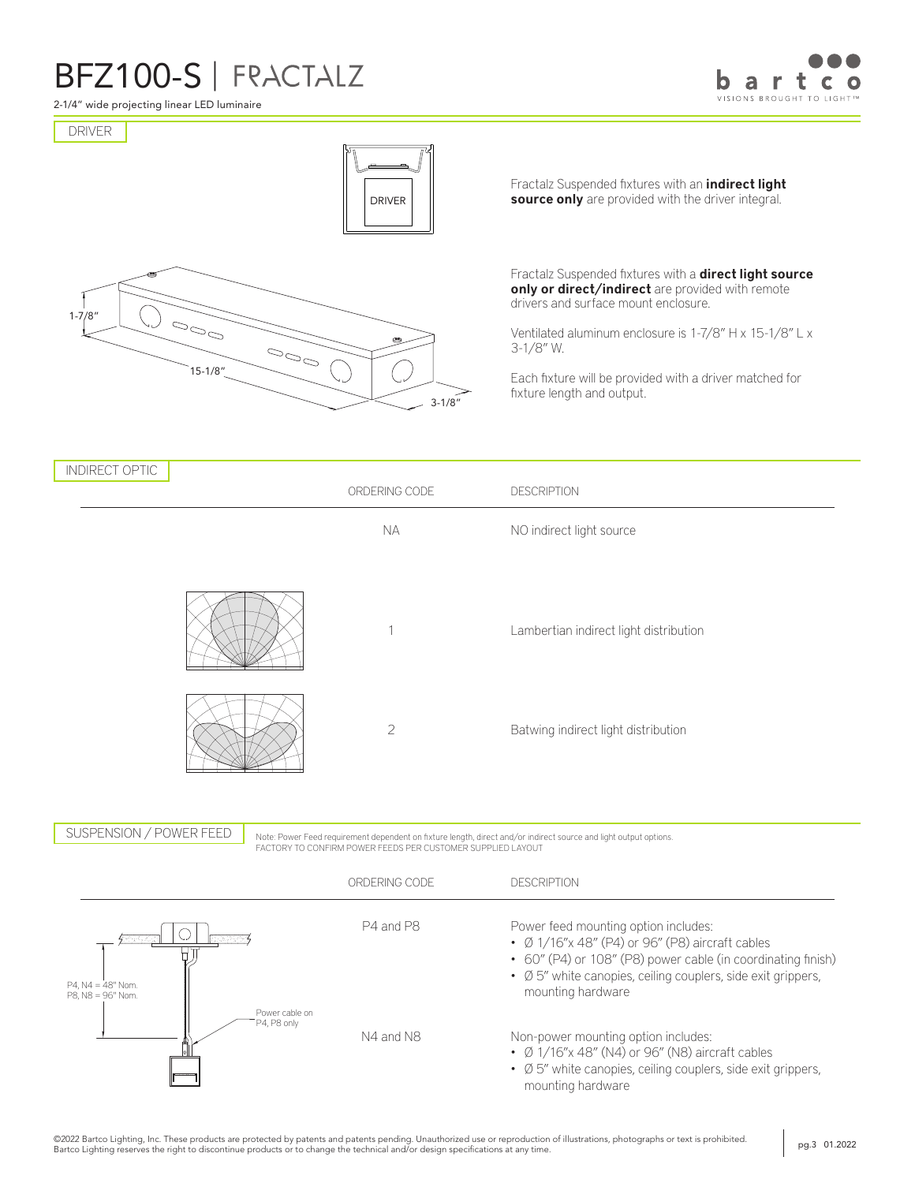

2-1/4" wide projecting linear LED luminaire





Direct Indirect Bi-Directional



Fractalz Suspended fixtures with an *indirect light* source only are provided with the driver integral.

Fractalz Suspended fixtures with a **direct light source** only or direct/indirect are provided with remote drivers and surface mount enclosure.

Ventilated aluminum enclosure is 1-7/8" H x 15-1/8" L x 3-1/8" W.

Each fixture will be provided with a driver matched for fixture length and output.

| <b>INDIRECT OPTIC</b>                                         | ORDERING CODE                                               | <b>DESCRIPTION</b>                                                                                                                                                                                                                           |
|---------------------------------------------------------------|-------------------------------------------------------------|----------------------------------------------------------------------------------------------------------------------------------------------------------------------------------------------------------------------------------------------|
|                                                               | <b>NA</b>                                                   | NO indirect light source                                                                                                                                                                                                                     |
|                                                               | 1                                                           | Lambertian indirect light distribution                                                                                                                                                                                                       |
|                                                               | $\overline{2}$                                              | Batwing indirect light distribution                                                                                                                                                                                                          |
| SUSPENSION / POWER FEED                                       | FACTORY TO CONFIRM POWER FEEDS PER CUSTOMER SUPPLIED LAYOUT | Note: Power Feed requirement dependent on fixture length, direct and/or indirect source and light output options.                                                                                                                            |
|                                                               | ORDERING CODE                                               | <b>DESCRIPTION</b>                                                                                                                                                                                                                           |
| <b>RESERVE</b><br>$P4$ , $N4 = 48"$ Nom.<br>P8, N8 = 96" Nom. | P4 and P8                                                   | Power feed mounting option includes:<br>• Ø 1/16"x 48" (P4) or 96" (P8) aircraft cables<br>• 60" (P4) or 108" (P8) power cable (in coordinating finish)<br>• Ø 5" white canopies, ceiling couplers, side exit grippers,<br>mounting hardware |
| Power cable on<br>P4, P8 only                                 | N4 and N8                                                   | Non-power mounting option includes:<br>$\cdot$ Ø 1/16"x 48" (N4) or 96" (N8) aircraft cables<br>• Ø 5" white canopies, ceiling couplers, side exit grippers,<br>mounting hardware                                                            |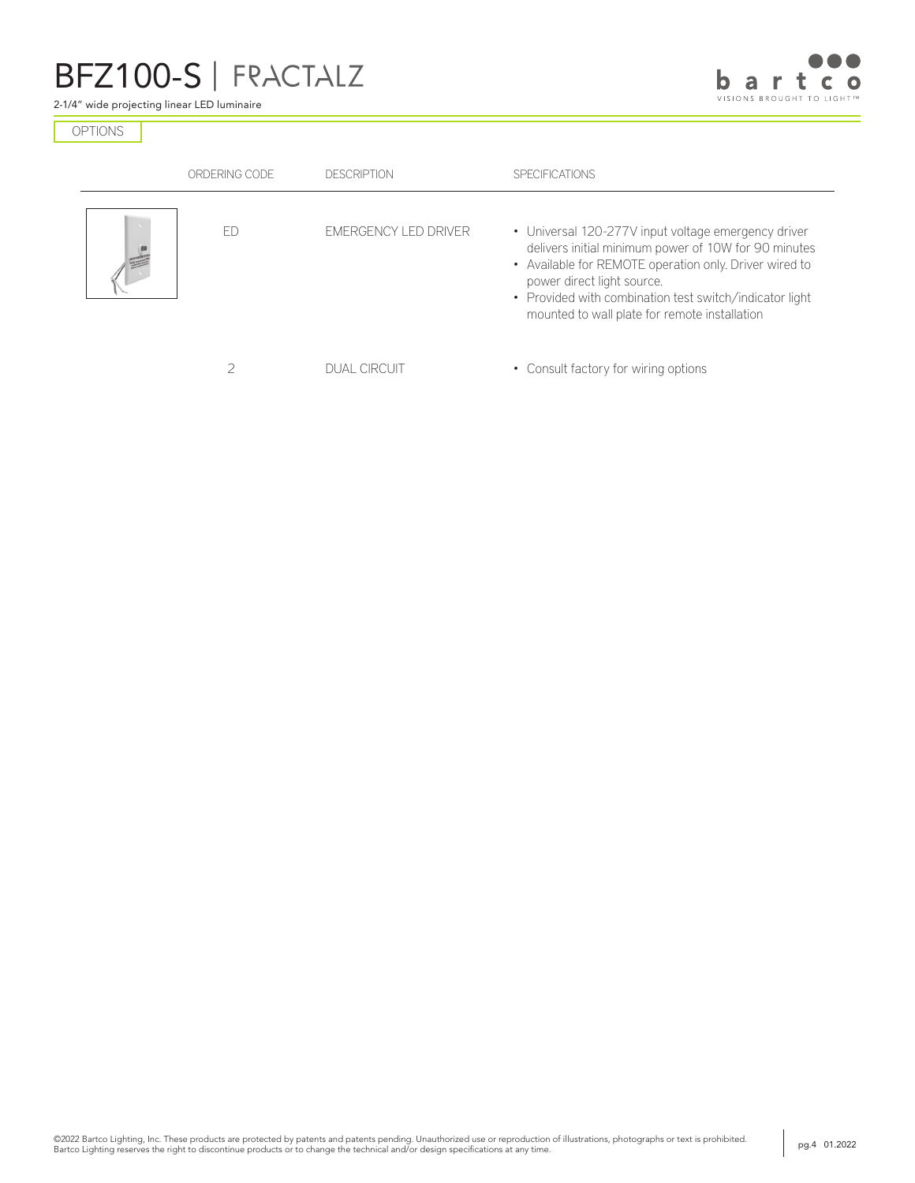2-1/4" wide projecting linear LED luminaire



OPTIONS

| ORDERING CODE | <b>DESCRIPTION</b>          | <b>SPECIFICATIONS</b>                                                                                                                                                                                                                                                                                           |
|---------------|-----------------------------|-----------------------------------------------------------------------------------------------------------------------------------------------------------------------------------------------------------------------------------------------------------------------------------------------------------------|
| FΓ            | <b>EMERGENCY LED DRIVER</b> | • Universal 120-277V input voltage emergency driver<br>delivers initial minimum power of 10W for 90 minutes<br>• Available for REMOTE operation only. Driver wired to<br>power direct light source.<br>• Provided with combination test switch/indicator light<br>mounted to wall plate for remote installation |
|               | <b>DUAL CIRCUIT</b>         | • Consult factory for wiring options                                                                                                                                                                                                                                                                            |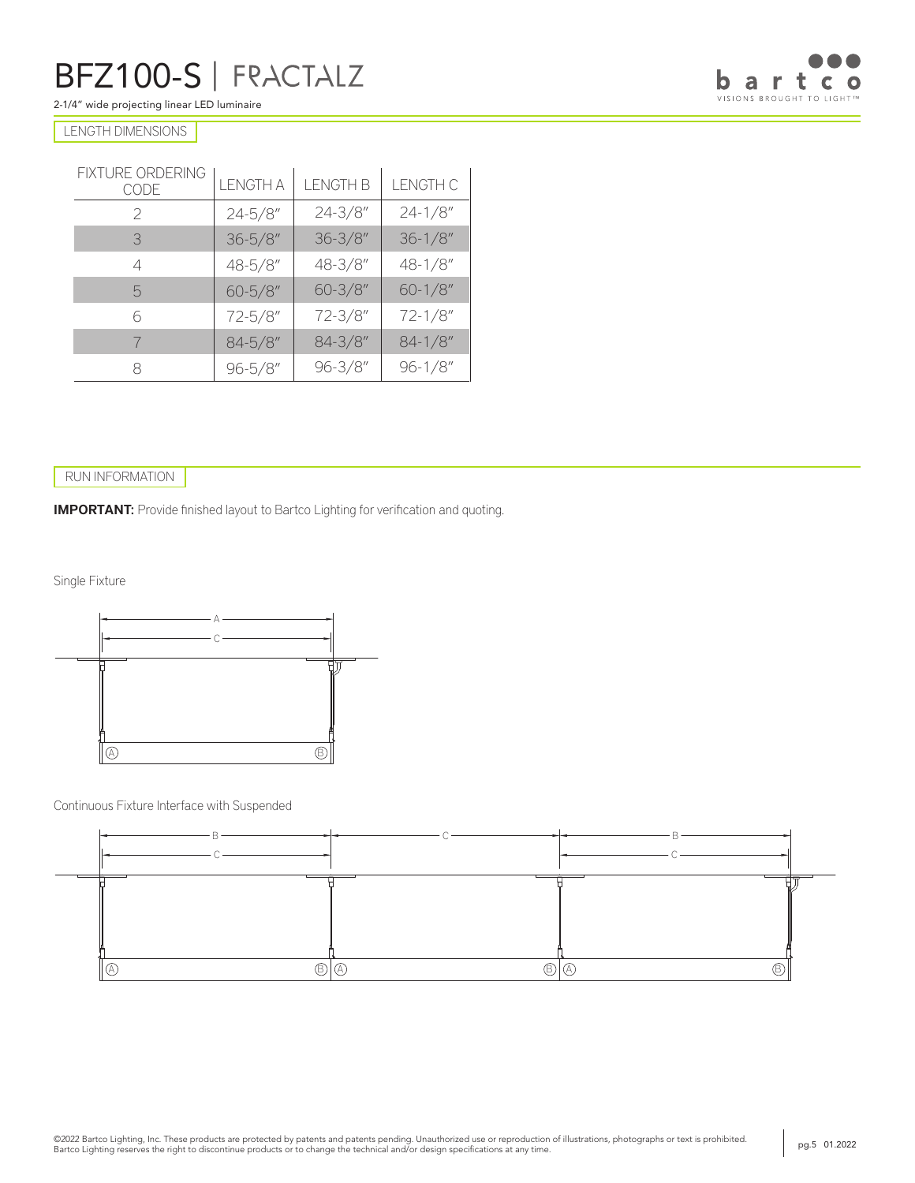2-1/4" wide projecting linear LED luminaire



### LENGTH DIMENSIONS

| FIXTURE ORDERING<br>CODE | <b>LENGTH A</b> | <b>LENGTH B</b> | <b>LENGTH C</b> |  |
|--------------------------|-----------------|-----------------|-----------------|--|
| $\mathcal{P}$            | $24 - 5/8$ "    | $24 - 3/8''$    | $24 - 1/8$ "    |  |
| 3                        | $36 - 5/8$ "    | $36 - 3/8''$    | $36 - 1/8$ "    |  |
| 4                        | 48-5/8"         | 48-3/8"         | 48-1/8"         |  |
| 5                        | $60 - 5/8$ "    | $60 - 3/8''$    | $60 - 1/8$ "    |  |
| 6                        | 72-5/8"         | 72-3/8"         | $72 - 1/8$ "    |  |
|                          | $84 - 5/8$ "    | $84 - 3/8''$    | $84 - 1/8$ "    |  |
| R                        | $96 - 5/8$ "    | $96 - 3/8''$    | $96 - 1/8$ "    |  |

### RUN INFORMATION

**IMPORTANT:** Provide finished layout to Bartco Lighting for verification and quoting.

Single Fixture



Continuous Fixture Interface with Suspended